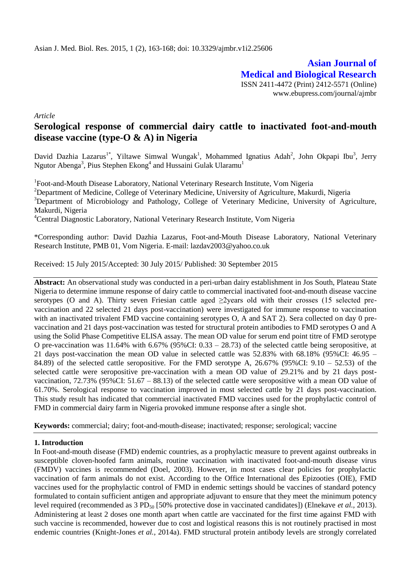**Asian Journal of Medical and Biological Research** ISSN 2411-4472 (Print) 2412-5571 (Online) www.ebupress.com/journal/ajmbr

*Article*

# **Serological response of commercial dairy cattle to inactivated foot-and-mouth disease vaccine (type-O & A) in Nigeria**

David Dazhia Lazarus<sup>1\*</sup>, Yiltawe Simwal Wungak<sup>1</sup>, Mohammed Ignatius Adah<sup>2</sup>, John Okpapi Ibu<sup>3</sup>, Jerry Ngutor Abenga<sup>3</sup>, Pius Stephen Ekong<sup>4</sup> and Hussaini Gulak Ularamu<sup>1</sup>

<sup>1</sup>Foot-and-Mouth Disease Laboratory, National Veterinary Research Institute, Vom Nigeria <sup>2</sup>Department of Medicine, College of Veterinary Medicine, University of Agriculture, Makurdi, Nigeria <sup>3</sup>Department of Microbiology and Pathology, College of Veterinary Medicine, University of Agriculture, Makurdi, Nigeria <sup>4</sup>Central Diagnostic Laboratory, National Veterinary Research Institute, Vom Nigeria

\*Corresponding author: David Dazhia Lazarus, Foot-and-Mouth Disease Laboratory, National Veterinary Research Institute, PMB 01, Vom Nigeria. E-mail: [lazdav2003@yahoo.co.uk](mailto:lazdav2003@yahoo.co.uk)

Received: 15 July 2015/Accepted: 30 July 2015/ Published: 30 September 2015

**Abstract:** An observational study was conducted in a peri-urban dairy establishment in Jos South, Plateau State Nigeria to determine immune response of dairy cattle to commercial inactivated foot-and-mouth disease vaccine serotypes (O and A). Thirty seven Friesian cattle aged  $\geq$ 2years old with their crosses (15 selected prevaccination and 22 selected 21 days post-vaccination) were investigated for immune response to vaccination with an inactivated trivalent FMD vaccine containing serotypes O, A and SAT 2). Sera collected on day 0 prevaccination and 21 days post-vaccination was tested for structural protein antibodies to FMD serotypes O and A using the Solid Phase Competitive ELISA assay. The mean OD value for serum end point titre of FMD serotype O pre-vaccination was 11.64% with 6.67% (95%CI: 0.33 – 28.73) of the selected cattle being seropositive, at 21 days post-vaccination the mean OD value in selected cattle was 52.83% with 68.18% (95%CI: 46.95 – 84.89) of the selected cattle seropositive. For the FMD serotype A,  $26.67\%$  (95%CI:  $9.10 - 52.53$ ) of the selected cattle were seropositive pre-vaccination with a mean OD value of 29.21% and by 21 days postvaccination, 72.73% (95%CI: 51.67 – 88.13) of the selected cattle were seropositive with a mean OD value of 61.70%. Serological response to vaccination improved in most selected cattle by 21 days post-vaccination. This study result has indicated that commercial inactivated FMD vaccines used for the prophylactic control of FMD in commercial dairy farm in Nigeria provoked immune response after a single shot.

**Keywords:** commercial; dairy; foot-and-mouth-disease; inactivated; response; serological; vaccine

### **1. Introduction**

In Foot-and-mouth disease (FMD) endemic countries, as a prophylactic measure to prevent against outbreaks in susceptible cloven-hoofed farm animals, routine vaccination with inactivated foot-and-mouth disease virus (FMDV) vaccines is recommended (Doel, 2003). However, in most cases clear policies for prophylactic vaccination of farm animals do not exist. According to the Office International des Epizooties (OIE), FMD vaccines used for the prophylactic control of FMD in endemic settings should be vaccines of standard potency formulated to contain sufficient antigen and appropriate adjuvant to ensure that they meet the minimum potency level required (recommended as 3 PD<sub>50</sub> [50% protective dose in vaccinated candidates]) (Elnekave *et al.*, 2013). Administering at least 2 doses one month apart when cattle are vaccinated for the first time against FMD with such vaccine is recommended, however due to cost and logistical reasons this is not routinely practised in most endemic countries (Knight-Jones *et al.,* 2014a). FMD structural protein antibody levels are strongly correlated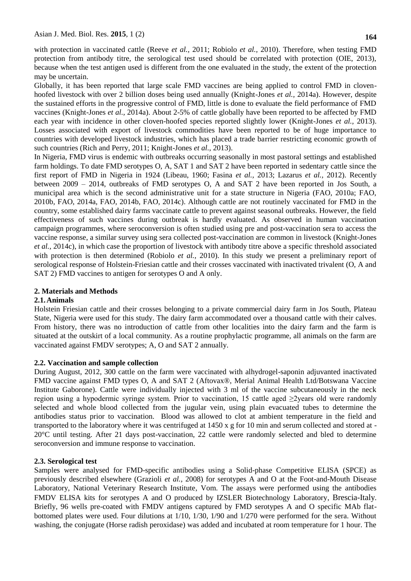with protection in vaccinated cattle (Reeve *et al.,* 2011; Robiolo *et al.,* 2010). Therefore, when testing FMD protection from antibody titre, the serological test used should be correlated with protection (OIE, 2013), because when the test antigen used is different from the one evaluated in the study, the extent of the protection may be uncertain.

Globally, it has been reported that large scale FMD vaccines are being applied to control FMD in clovenhoofed livestock with over 2 billion doses being used annually (Knight-Jones *et al.,* 2014a). However, despite the sustained efforts in the progressive control of FMD, little is done to evaluate the field performance of FMD vaccines (Knight-Jones *et al.,* 2014a). About 2-5% of cattle globally have been reported to be affected by FMD each year with incidence in other cloven-hoofed species reported slightly lower (Knight-Jones *et al.,* 2013). Losses associated with export of livestock commodities have been reported to be of huge importance to countries with developed livestock industries, which has placed a trade barrier restricting economic growth of such countries (Rich and Perry, 2011; Knight-Jones *et al.,* 2013).

In Nigeria, FMD virus is endemic with outbreaks occurring seasonally in most pastoral settings and established farm holdings. To date FMD serotypes O, A, SAT 1 and SAT 2 have been reported in sedentary cattle since the first report of FMD in Nigeria in 1924 (Libeau, 1960; Fasina *et al.,* 2013; Lazarus *et al.,* 2012). Recently between 2009 – 2014, outbreaks of FMD serotypes O, A and SAT 2 have been reported in Jos South, a municipal area which is the second administrative unit for a state structure in Nigeria (FAO, 2010a; FAO, 2010b, FAO, 2014a, FAO, 2014b, FAO, 2014c). Although cattle are not routinely vaccinated for FMD in the country, some established dairy farms vaccinate cattle to prevent against seasonal outbreaks. However, the field effectiveness of such vaccines during outbreak is hardly evaluated. As observed in human vaccination campaign programmes, where seroconversion is often studied using pre and post-vaccination sera to access the vaccine response, a similar survey using sera collected post-vaccination are common in livestock (Knight-Jones *et al.,* 2014c), in which case the proportion of livestock with antibody titre above a specific threshold associated with protection is then determined (Robiolo *et al.,* 2010). In this study we present a preliminary report of serological response of Holstein-Friesian cattle and their crosses vaccinated with inactivated trivalent (O, A and SAT 2) FMD vaccines to antigen for serotypes O and A only.

## **2. Materials and Methods**

### **2.1.Animals**

Holstein Friesian cattle and their crosses belonging to a private commercial dairy farm in Jos South, Plateau State, Nigeria were used for this study. The dairy farm accommodated over a thousand cattle with their calves. From history, there was no introduction of cattle from other localities into the dairy farm and the farm is situated at the outskirt of a local community. As a routine prophylactic programme, all animals on the farm are vaccinated against FMDV serotypes; A, O and SAT 2 annually.

### **2.2. Vaccination and sample collection**

During August, 2012, 300 cattle on the farm were vaccinated with alhydrogel-saponin adjuvanted inactivated FMD vaccine against FMD types O, A and SAT 2 (Aftovax®, Merial Animal Health Ltd/Botswana Vaccine Institute Gaborone). Cattle were individually injected with 3 ml of the vaccine subcutaneously in the neck region using a hypodermic syringe system. Prior to vaccination, 15 cattle aged ≥2years old were randomly selected and whole blood collected from the jugular vein, using plain evacuated tubes to determine the antibodies status prior to vaccination. Blood was allowed to clot at ambient temperature in the field and transported to the laboratory where it was centrifuged at  $1450 \times g$  for 10 min and serum collected and stored at -20°C until testing. After 21 days post-vaccination, 22 cattle were randomly selected and bled to determine seroconversion and immune response to vaccination.

### **2.3. Serological test**

Samples were analysed for FMD-specific antibodies using a Solid-phase Competitive ELISA (SPCE) as previously described elsewhere (Grazioli *et al.,* 2008) for serotypes A and O at the Foot-and-Mouth Disease Laboratory, National Veterinary Research Institute, Vom. The assays were performed using the antibodies FMDV ELISA kits for serotypes A and O produced by IZSLER Biotechnology Laboratory, Brescia-Italy. Briefly, 96 wells pre-coated with FMDV antigens captured by FMD serotypes A and O specific MAb flatbottomed plates were used. Four dilutions at 1/10, 1/30, 1/90 and 1/270 were performed for the sera. Without washing, the conjugate (Horse radish peroxidase) was added and incubated at room temperature for 1 hour. The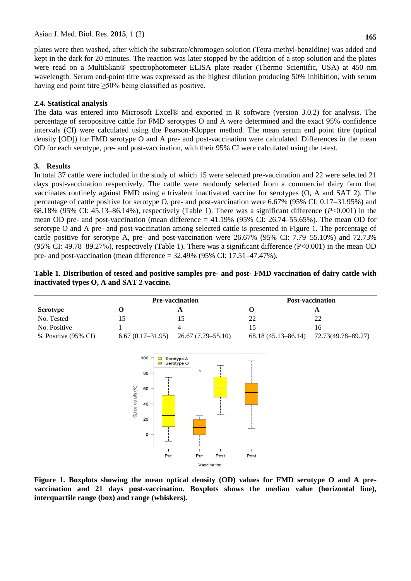plates were then washed, after which the substrate/chromogen solution (Tetra-methyl-benzidine) was added and kept in the dark for 20 minutes. The reaction was later stopped by the addition of a stop solution and the plates were read on a MultiSkan® spectrophotometer ELISA plate reader (Thermo Scientific, USA) at 450 nm wavelength. Serum end-point titre was expressed as the highest dilution producing 50% inhibition, with serum having end point titre  $\geq 50\%$  being classified as positive.

#### **2.4. Statistical analysis**

The data was entered into Microsoft Excel® and exported in R software (version 3.0.2) for analysis. The percentage of seropositive cattle for FMD serotypes O and A were determined and the exact 95% confidence intervals (CI) were calculated using the Pearson-Klopper method. The mean serum end point titre (optical density [OD]) for FMD serotype O and A pre- and post-vaccination were calculated. Differences in the mean OD for each serotype, pre- and post-vaccination, with their 95% CI were calculated using the t-test.

#### **3. Results**

In total 37 cattle were included in the study of which 15 were selected pre-vaccination and 22 were selected 21 days post-vaccination respectively. The cattle were randomly selected from a commercial dairy farm that vaccinates routinely against FMD using a trivalent inactivated vaccine for serotypes (O, A and SAT 2). The percentage of cattle positive for serotype O, pre- and post-vaccination were 6.67% (95% CI: 0.17–31.95%) and 68.18% (95% CI: 45.13–86.14%), respectively (Table 1). There was a significant difference (*P*<0.001) in the mean OD pre- and post-vaccination (mean difference  $= 41.19\%$  (95% CI: 26.74–55.65%). The mean OD for serotype O and A pre- and post-vaccination among selected cattle is presented in Figure 1. The percentage of cattle positive for serotype A, pre- and post-vaccination were 26.67% (95% CI: 7.79–55.10%) and 72.73% (95% CI: 49.78–89.27%), respectively (Table 1). There was a significant difference (P<0.001) in the mean OD pre- and post-vaccination (mean difference  $=$  32.49% (95% CI: 17.51–47.47%).

| Table 1. Distribution of tested and positive samples pre- and post- FMD vaccination of dairy cattle with |  |  |  |
|----------------------------------------------------------------------------------------------------------|--|--|--|
| inactivated types O, A and SAT 2 vaccine.                                                                |  |  |  |

|                     | <b>Pre-vaccination</b> |                                        | <b>Post-vaccination</b> |                    |  |
|---------------------|------------------------|----------------------------------------|-------------------------|--------------------|--|
| Serotype            |                        |                                        |                         |                    |  |
| No. Tested          |                        |                                        |                         |                    |  |
| No. Positive        |                        |                                        |                         | Iб                 |  |
| % Positive (95% CI) |                        | $6.67(0.17-31.95)$ $26.67(7.79-55.10)$ | 68.18 (45.13–86.14)     | 72.73(49.78–89.27) |  |



**Figure 1. Boxplots showing the mean optical density (OD) values for FMD serotype O and A prevaccination and 21 days post-vaccination. Boxplots shows the median value (horizontal line), interquartile range (box) and range (whiskers).**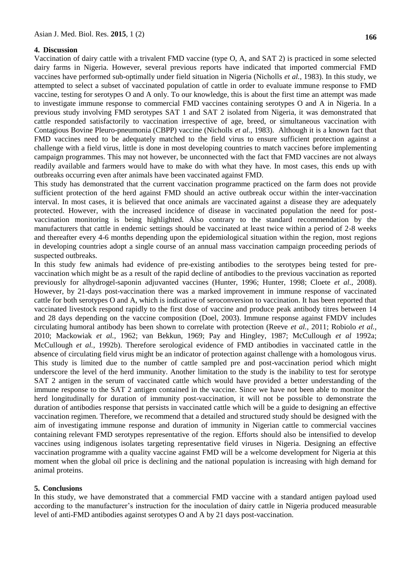#### **4. Discussion**

Vaccination of dairy cattle with a trivalent FMD vaccine (type O, A, and SAT 2) is practiced in some selected dairy farms in Nigeria. However, several previous reports have indicated that imported commercial FMD vaccines have performed sub-optimally under field situation in Nigeria (Nicholls *et al.,* 1983). In this study, we attempted to select a subset of vaccinated population of cattle in order to evaluate immune response to FMD vaccine, testing for serotypes O and A only. To our knowledge, this is about the first time an attempt was made to investigate immune response to commercial FMD vaccines containing serotypes O and A in Nigeria. In a previous study involving FMD serotypes SAT 1 and SAT 2 isolated from Nigeria, it was demonstrated that cattle responded satisfactorily to vaccination irrespective of age, breed, or simultaneous vaccination with Contagious Bovine Pleuro-pneumonia (CBPP) vaccine (Nicholls *et al.,* 1983). Although it is a known fact that FMD vaccines need to be adequately matched to the field virus to ensure sufficient protection against a challenge with a field virus, little is done in most developing countries to match vaccines before implementing campaign programmes. This may not however, be unconnected with the fact that FMD vaccines are not always readily available and farmers would have to make do with what they have. In most cases, this ends up with outbreaks occurring even after animals have been vaccinated against FMD.

This study has demonstrated that the current vaccination programme practiced on the farm does not provide sufficient protection of the herd against FMD should an active outbreak occur within the inter-vaccination interval. In most cases, it is believed that once animals are vaccinated against a disease they are adequately protected. However, with the increased incidence of disease in vaccinated population the need for postvaccination monitoring is being highlighted. Also contrary to the standard recommendation by the manufacturers that cattle in endemic settings should be vaccinated at least twice within a period of 2-8 weeks and thereafter every 4-6 months depending upon the epidemiological situation within the region, most regions in developing countries adopt a single course of an annual mass vaccination campaign proceeding periods of suspected outbreaks.

In this study few animals had evidence of pre-existing antibodies to the serotypes being tested for prevaccination which might be as a result of the rapid decline of antibodies to the previous vaccination as reported previously for alhydrogel-saponin adjuvanted vaccines (Hunter, 1996; Hunter, 1998; Cloete *et al.,* 2008). However, by 21-days post-vaccination there was a marked improvement in immune response of vaccinated cattle for both serotypes O and A, which is indicative of seroconversion to vaccination. It has been reported that vaccinated livestock respond rapidly to the first dose of vaccine and produce peak antibody titres between 14 and 28 days depending on the vaccine composition (Doel, 2003). Immune response against FMDV includes circulating humoral antibody has been shown to correlate with protection (Reeve *et al.,* 2011; Robiolo *et al.,* 2010; Mackowiak *et al.,* 1962; van Bekkun, 1969; Pay and Hingley, 1987; McCullough *et al* 1992a; McCullough *et al.,* 1992b). Therefore serological evidence of FMD antibodies in vaccinated cattle in the absence of circulating field virus might be an indicator of protection against challenge with a homologous virus. This study is limited due to the number of cattle sampled pre and post-vaccination period which might underscore the level of the herd immunity. Another limitation to the study is the inability to test for serotype SAT 2 antigen in the serum of vaccinated cattle which would have provided a better understanding of the immune response to the SAT 2 antigen contained in the vaccine. Since we have not been able to monitor the herd longitudinally for duration of immunity post-vaccination, it will not be possible to demonstrate the duration of antibodies response that persists in vaccinated cattle which will be a guide to designing an effective vaccination regimen. Therefore, we recommend that a detailed and structured study should be designed with the aim of investigating immune response and duration of immunity in Nigerian cattle to commercial vaccines containing relevant FMD serotypes representative of the region. Efforts should also be intensified to develop vaccines using indigenous isolates targeting representative field viruses in Nigeria. Designing an effective vaccination programme with a quality vaccine against FMD will be a welcome development for Nigeria at this moment when the global oil price is declining and the national population is increasing with high demand for animal proteins.

#### **5. Conclusions**

In this study, we have demonstrated that a commercial FMD vaccine with a standard antigen payload used according to the manufacturer's instruction for the inoculation of dairy cattle in Nigeria produced measurable level of anti-FMD antibodies against serotypes O and A by 21 days post-vaccination.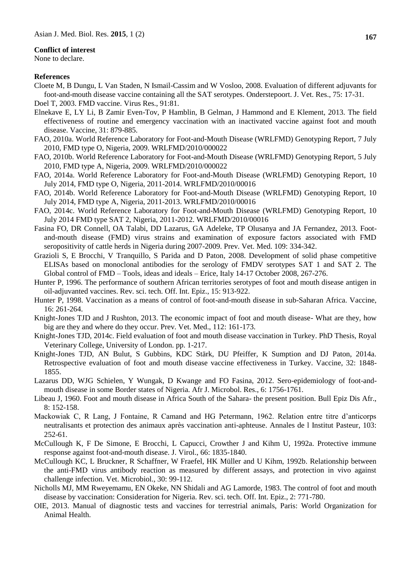#### **Conflict of interest**

None to declare.

#### **References**

- Cloete M, B Dungu, L Van Staden, N Ismail-Cassim and W Vosloo, 2008. Evaluation of different adjuvants for foot-and-mouth disease vaccine containing all the SAT serotypes. Onderstepoort. J. Vet. Res., 75: 17-31. Doel T, 2003. FMD vaccine. Virus Res., 91:81.
- Elnekave E, LY Li, B Zamir Even-Tov, P Hamblin, B Gelman, J Hammond and E Klement, 2013. The field effectiveness of routine and emergency vaccination with an inactivated vaccine against foot and mouth disease. Vaccine, 31: 879-885.
- FAO, 2010a. World Reference Laboratory for Foot-and-Mouth Disease (WRLFMD) Genotyping Report, 7 July 2010, FMD type O, Nigeria, 2009. WRLFMD/2010/000022
- FAO, 2010b. World Reference Laboratory for Foot-and-Mouth Disease (WRLFMD) Genotyping Report, 5 July 2010, FMD type A, Nigeria, 2009. WRLFMD/2010/000022
- FAO, 2014a. World Reference Laboratory for Foot-and-Mouth Disease (WRLFMD) Genotyping Report, 10 July 2014, FMD type O, Nigeria, 2011-2014. WRLFMD/2010/00016
- FAO, 2014b. World Reference Laboratory for Foot-and-Mouth Disease (WRLFMD) Genotyping Report, 10 July 2014, FMD type A, Nigeria, 2011-2013. WRLFMD/2010/00016
- FAO, 2014c. World Reference Laboratory for Foot-and-Mouth Disease (WRLFMD) Genotyping Report, 10 July 2014 FMD type SAT 2, Nigeria, 2011-2012. WRLFMD/2010/00016
- Fasina FO, DR Connell, OA Talabi, DD Lazarus, GA Adeleke, TP Olusanya and JA Fernandez, 2013. Footand-mouth disease (FMD) virus strains and examination of exposure factors associated with FMD seropositivity of cattle herds in Nigeria during 2007-2009. Prev. Vet. Med. 109: 334-342.
- Grazioli S, E Brocchi, V Tranquillo, S Parida and D Paton, 2008. Development of solid phase competitive ELISAs based on monoclonal antibodies for the serology of FMDV serotypes SAT 1 and SAT 2. The Global control of FMD – Tools, ideas and ideals – Erice, Italy 14-17 October 2008, 267-276.
- Hunter P, 1996. The performance of southern African territories serotypes of foot and mouth disease antigen in oil-adjuvanted vaccines. Rev. sci. tech. Off. Int. Epiz., 15: 913-922.
- Hunter P, 1998. Vaccination as a means of control of foot-and-mouth disease in sub-Saharan Africa. Vaccine, 16: 261-264.
- Knight-Jones TJD and J Rushton, 2013. The economic impact of foot and mouth disease- What are they, how big are they and where do they occur. Prev. Vet. Med., 112: 161-173.
- Knight-Jones TJD, 2014c. Field evaluation of foot and mouth disease vaccination in Turkey. PhD Thesis, Royal Veterinary College, University of London. pp. 1-217.
- Knight-Jones TJD, AN Bulut, S Gubbins, KDC Stärk, DU Pfeiffer, K Sumption and DJ Paton, 2014a. Retrospective evaluation of foot and mouth disease vaccine effectiveness in Turkey. Vaccine, 32: 1848- 1855.
- Lazarus DD, WJG Schielen, Y Wungak, D Kwange and FO Fasina, 2012. Sero-epidemiology of foot-andmouth disease in some Border states of Nigeria. Afr J. Microbol. Res., 6: 1756-1761.
- Libeau J, 1960. Foot and mouth disease in Africa South of the Sahara- the present position. Bull Epiz Dis Afr., 8: 152-158.
- Mackowiak C, R Lang, J Fontaine, R Camand and HG Petermann, 1962. Relation entre titre d'anticorps neutralisants et protection des animaux après vaccination anti-aphteuse. Annales de l Institut Pasteur, 103: 252-61.
- McCullough K, F De Simone, E Brocchi, L Capucci, Crowther J and Kihm U, 1992a. Protective immune response against foot-and-mouth disease. J. Virol., 66: 1835-1840.
- McCullough KC, L Bruckner, R Schaffner, W Fraefel, HK Müller and U Kihm, 1992b. Relationship between the anti-FMD virus antibody reaction as measured by different assays, and protection in vivo against challenge infection. Vet. Microbiol., 30: 99-112.
- Nicholls MJ, MM Rweyemamu, EN Okeke, NN Shidali and AG Lamorde, 1983. The control of foot and mouth disease by vaccination: Consideration for Nigeria. Rev. sci. tech. Off. Int. Epiz., 2: 771-780.
- OIE, 2013. Manual of diagnostic tests and vaccines for terrestrial animals, Paris: World Organization for Animal Health.